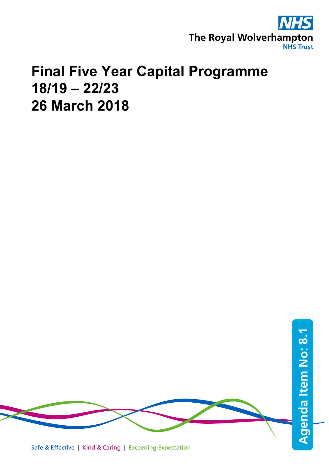

# **Final Five Year Capital Programme 18/19 – 22/23 26 March 2018**



Safe & Effective | Kind & Caring | Exceeding Expectation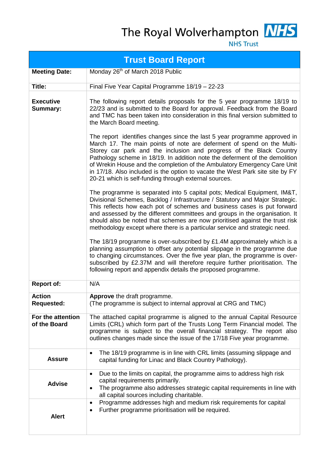The Royal Wolverhampton NHS



**NHS Trust** 

| <b>Trust Board Report</b>           |                                                                                                                                                                                                                                                                                                                                                                                                                                                                                                                                 |  |  |  |  |  |
|-------------------------------------|---------------------------------------------------------------------------------------------------------------------------------------------------------------------------------------------------------------------------------------------------------------------------------------------------------------------------------------------------------------------------------------------------------------------------------------------------------------------------------------------------------------------------------|--|--|--|--|--|
| <b>Meeting Date:</b>                | Monday 26 <sup>th</sup> of March 2018 Public                                                                                                                                                                                                                                                                                                                                                                                                                                                                                    |  |  |  |  |  |
| Title:                              | Final Five Year Capital Programme 18/19 - 22-23                                                                                                                                                                                                                                                                                                                                                                                                                                                                                 |  |  |  |  |  |
| <b>Executive</b><br><b>Summary:</b> | The following report details proposals for the 5 year programme 18/19 to<br>22/23 and is submitted to the Board for approval. Feedback from the Board<br>and TMC has been taken into consideration in this final version submitted to<br>the March Board meeting.                                                                                                                                                                                                                                                               |  |  |  |  |  |
|                                     | The report identifies changes since the last 5 year programme approved in<br>March 17. The main points of note are deferment of spend on the Multi-<br>Storey car park and the inclusion and progress of the Black Country<br>Pathology scheme in 18/19. In addition note the deferment of the demolition<br>of Wrekin House and the completion of the Ambulatory Emergency Care Unit<br>in 17/18. Also included is the option to vacate the West Park site site by FY<br>20-21 which is self-funding through external sources. |  |  |  |  |  |
|                                     | The programme is separated into 5 capital pots; Medical Equipment, IM&T,<br>Divisional Schemes, Backlog / Infrastructure / Statutory and Major Strategic.<br>This reflects how each pot of schemes and business cases is put forward<br>and assessed by the different committees and groups in the organisation. It<br>should also be noted that schemes are now prioritised against the trust risk<br>methodology except where there is a particular service and strategic need.                                               |  |  |  |  |  |
|                                     | The $18/19$ programme is over-subscribed by £1.4M approximately which is a<br>planning assumption to offset any potential slippage in the programme due<br>to changing circumstances. Over the five year plan, the programme is over-<br>subscribed by £2.37M and will therefore require further prioritisation. The<br>following report and appendix details the proposed programme.                                                                                                                                           |  |  |  |  |  |
| <b>Report of:</b>                   | N/A                                                                                                                                                                                                                                                                                                                                                                                                                                                                                                                             |  |  |  |  |  |
| <b>Action</b><br><b>Requested:</b>  | Approve the draft programme.<br>(The programme is subject to internal approval at CRG and TMC)                                                                                                                                                                                                                                                                                                                                                                                                                                  |  |  |  |  |  |
| For the attention<br>of the Board   | The attached capital programme is aligned to the annual Capital Resource<br>Limits (CRL) which form part of the Trusts Long Term Financial model. The<br>programme is subject to the overall financial strategy. The report also<br>outlines changes made since the issue of the 17/18 Five year programme.                                                                                                                                                                                                                     |  |  |  |  |  |
| <b>Assure</b>                       | The 18/19 programme is in line with CRL limits (assuming slippage and<br>$\bullet$<br>capital funding for Linac and Black Country Pathology).                                                                                                                                                                                                                                                                                                                                                                                   |  |  |  |  |  |
| <b>Advise</b>                       | Due to the limits on capital, the programme aims to address high risk<br>$\bullet$<br>capital requirements primarily.<br>The programme also addresses strategic capital requirements in line with<br>$\bullet$<br>all capital sources including charitable.                                                                                                                                                                                                                                                                     |  |  |  |  |  |
| <b>Alert</b>                        | Programme addresses high and medium risk requirements for capital<br>$\bullet$<br>Further programme prioritisation will be required.<br>٠                                                                                                                                                                                                                                                                                                                                                                                       |  |  |  |  |  |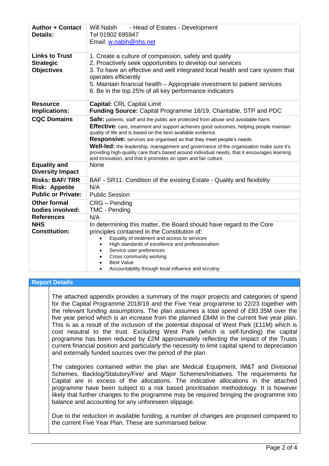| <b>Author + Contact</b><br><b>Details:</b>                     | Will Nabih<br>- Head of Estates - Development<br>Tel 01902 695947<br>Email: w.nabih@nhs.net                                                                                                                                                                                                                                                                                                                                                                                                                                                                                             |  |  |  |  |  |
|----------------------------------------------------------------|-----------------------------------------------------------------------------------------------------------------------------------------------------------------------------------------------------------------------------------------------------------------------------------------------------------------------------------------------------------------------------------------------------------------------------------------------------------------------------------------------------------------------------------------------------------------------------------------|--|--|--|--|--|
| <b>Links to Trust</b><br><b>Strategic</b><br><b>Objectives</b> | 1. Create a culture of compassion, safety and quality<br>2. Proactively seek opportunities to develop our services<br>3. To have an effective and well integrated local health and care system that<br>operates efficiently<br>5. Maintain financial health – Appropriate investment to patient services<br>6. Be in the top 25% of all key performance indicators                                                                                                                                                                                                                      |  |  |  |  |  |
| <b>Resource</b><br>Implications:                               | <b>Capital: CRL Capital Limit</b><br><b>Funding Source:</b> Capital Programme 18/19, Charitable, STP and PDC                                                                                                                                                                                                                                                                                                                                                                                                                                                                            |  |  |  |  |  |
| <b>CQC Domains</b>                                             | Safe: patients, staff and the public are protected from abuse and avoidable harm.<br>Effective: care, treatment and support achieves good outcomes, helping people maintain<br>quality of life and is based on the best available evidence.<br><b>Responsive:</b> services are organised so that they meet people's needs.<br>Well-led: the leadership, management and governance of the organisation make sure it's<br>providing high-quality care that's based around individual needs, that it encourages learning<br>and innovation, and that it promotes an open and fair culture. |  |  |  |  |  |
| <b>Equality and</b><br><b>Diversity Impact</b>                 | None                                                                                                                                                                                                                                                                                                                                                                                                                                                                                                                                                                                    |  |  |  |  |  |
| <b>Risks: BAF/TRR</b>                                          | BAF - SR11: Condition of the existing Estate - Quality and flexibility                                                                                                                                                                                                                                                                                                                                                                                                                                                                                                                  |  |  |  |  |  |
| <b>Risk: Appetite</b>                                          | N/A                                                                                                                                                                                                                                                                                                                                                                                                                                                                                                                                                                                     |  |  |  |  |  |
| <b>Public or Private:</b>                                      | <b>Public Session</b>                                                                                                                                                                                                                                                                                                                                                                                                                                                                                                                                                                   |  |  |  |  |  |
| <b>Other formal</b><br>bodies involved:                        | CRG - Pending<br>TMC - Pending                                                                                                                                                                                                                                                                                                                                                                                                                                                                                                                                                          |  |  |  |  |  |
| <b>References</b>                                              | N/A                                                                                                                                                                                                                                                                                                                                                                                                                                                                                                                                                                                     |  |  |  |  |  |
| <b>NHS</b><br><b>Constitution:</b>                             | In determining this matter, the Board should have regard to the Core<br>principles contained in the Constitution of:<br>Equality of treatment and access to services<br>High standards of excellence and professionalism<br>$\bullet$<br>Service user preferences<br>Cross community working<br><b>Best Value</b><br>Accountability through local influence and scrutiny                                                                                                                                                                                                                |  |  |  |  |  |

#### **Report Details**

The attached appendix provides a summary of the major projects and categories of spend for the Capital Programme 2018/19 and the Five Year programme to 22/23 together with the relevant funding assumptions. The plan assumes a total spend of £93.35M over the five year period which is an increase from the planned £84M in the current five year plan. This is as a result of the inclusion of the potential disposal of West Park (£11M) which is cost neautral to the trust. Excluding West Park (which is self-funding) the capital programme has been reduced by £2M approximately reflecting the impact of the Trusts current financial position and particularly the necessity to limit capital spend to depreciation and externally funded sources over the period of the plan.

The categories contained within the plan are Medical Equipment, IM&T and Divisional Schemes, Backlog/Statutory/Fire/ and Major Schemes/Initiatives. The requirements for Capital are in excess of the allocations. The indicative allocations in the attached programme have been subject to a risk based prioritisation methodology. It is however likely that further changes to the programme may be required bringing the programme into balance and accounting for any unforeseen slippage.

Due to the reduction in available funding, a number of changes are proposed compared to the current Five Year Plan. These are summarised below: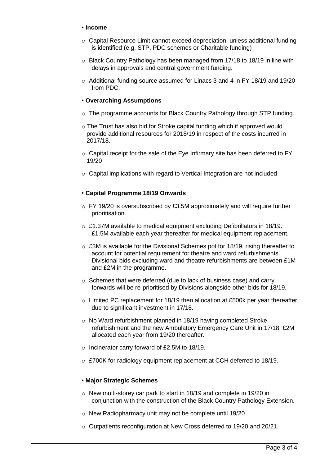#### • **Income**

- $\circ$  Capital Resource Limit cannot exceed depreciation, unless additional funding is identified (e.g. STP, PDC schemes or Charitable funding)
- $\circ$  Black Country Pathology has been managed from 17/18 to 18/19 in line with delays in approvals and central government funding.
- o Additional funding source assumed for Linacs 3 and 4 in FY 18/19 and 19/20 from PDC.

#### • **Overarching Assumptions**

- $\circ$  The programme accounts for Black Country Pathology through STP funding.
- o The Trust has also bid for Stroke capital funding which if approved would provide additional resources for 2018/19 in respect of the costs incurred in 2017/18.
- $\circ$  Capital receipt for the sale of the Eye Infirmary site has been deferred to FY 19/20
- o Capital implications with regard to Vertical Integration are not included

### • **Capital Programme 18/19 Onwards**

- $\circ$  FY 19/20 is oversubscribed by £3.5M approximately and will require further prioritisation.
- o £1.37M available to medical equipment excluding Defibrillators in 18/19. £1.5M available each year thereafter for medical equipment replacement.
- $\circ$  £3M is available for the Divisional Schemes pot for 18/19, rising thereafter to account for potential requirement for theatre and ward refurbishments. Divisional bids excluding ward and theatre refurbishments are between £1M and £2M in the programme.
- o Schemes that were deferred (due to lack of business case) and carry forwards will be re-prioritised by Divisions alongside other bids for 18/19.
- o Limited PC replacement for 18/19 then allocation at £500k per year thereafter due to significant investment in 17/18.
- o No Ward refurbishment planned in 18/19 having completed Stroke refurbishment and the new Ambulatory Emergency Care Unit in 17/18. £2M allocated each year from 19/20 thereafter.
- o Incinerator carry forward of £2.5M to 18/19.
- o £700K for radiology equipment replacement at CCH deferred to 18/19.

## • **Major Strategic Schemes**

- o New multi-storey car park to start in 18/19 and complete in 19/20 in conjunction with the construction of the Black Country Pathology Extension.
- o New Radiopharmacy unit may not be complete until 19/20
- o Outpatients reconfiguration at New Cross deferred to 19/20 and 20/21.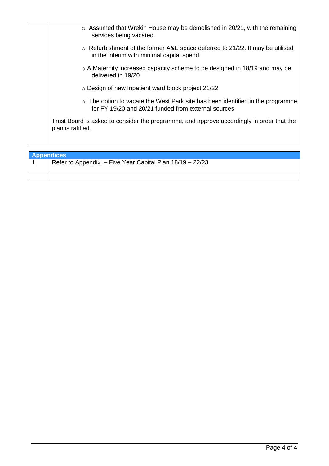| $\circ$ Assumed that Wrekin House may be demolished in 20/21, with the remaining          |
|-------------------------------------------------------------------------------------------|
| $\circ$ Refurbishment of the former A&E space deferred to 21/22. It may be utilised       |
| $\circ$ A Maternity increased capacity scheme to be designed in 18/19 and may be          |
|                                                                                           |
| $\circ$ The option to vacate the West Park site has been identified in the programme      |
| Trust Board is asked to consider the programme, and approve accordingly in order that the |
|                                                                                           |

| <b>Appendices</b>                                        |
|----------------------------------------------------------|
| Refer to Appendix - Five Year Capital Plan 18/19 - 22/23 |
|                                                          |